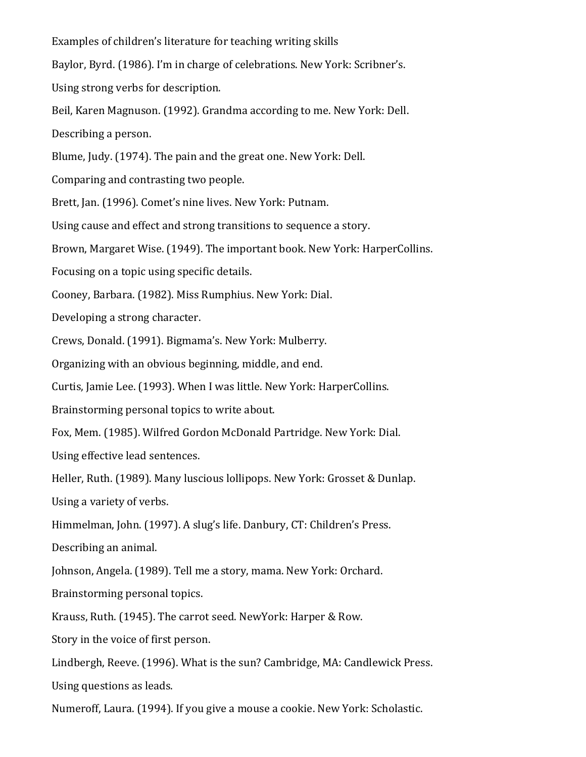Examples of children's literature for teaching writing skills Baylor, Byrd. (1986). I'm in charge of celebrations. New York: Scribner's. Using strong verbs for description. Beil, Karen Magnuson. (1992). Grandma according to me. New York: Dell. Describing a person. Blume, Judy. (1974). The pain and the great one. New York: Dell. Comparing and contrasting two people. Brett, Jan. (1996). Comet's nine lives. New York: Putnam. Using cause and effect and strong transitions to sequence a story. Brown, Margaret Wise. (1949). The important book. New York: HarperCollins. Focusing on a topic using specific details. Cooney, Barbara. (1982). Miss Rumphius. New York: Dial. Developing a strong character. Crews, Donald. (1991). Bigmama's. New York: Mulberry. Organizing with an obvious beginning, middle, and end. Curtis, Jamie Lee. (1993). When I was little. New York: HarperCollins. Brainstorming personal topics to write about. Fox, Mem. (1985). Wilfred Gordon McDonald Partridge. New York: Dial. Using effective lead sentences. Heller, Ruth. (1989). Many luscious lollipops. New York: Grosset & Dunlap. Using a variety of verbs. Himmelman, John. (1997). A slug's life. Danbury, CT: Children's Press. Describing an animal. Johnson, Angela. (1989). Tell me a story, mama. New York: Orchard. Brainstorming personal topics. Krauss, Ruth. (1945). The carrot seed. NewYork: Harper & Row. Story in the voice of first person. Lindbergh, Reeve. (1996). What is the sun? Cambridge, MA: Candlewick Press. Using questions as leads.

Numeroff, Laura. (1994). If you give a mouse a cookie. New York: Scholastic.